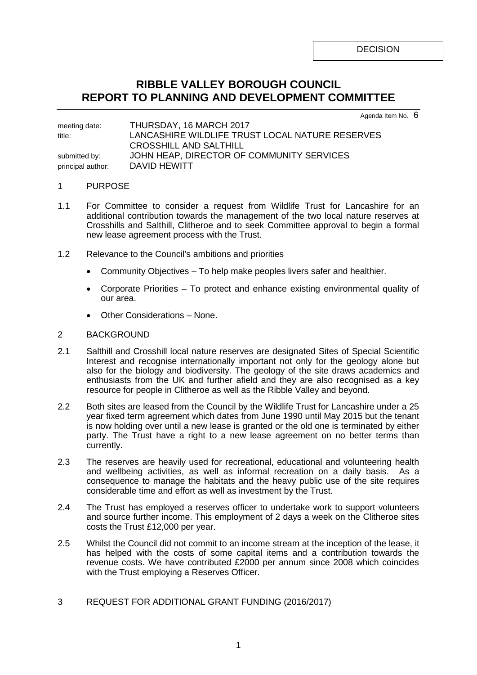DECISION

## **RIBBLE VALLEY BOROUGH COUNCIL REPORT TO PLANNING AND DEVELOPMENT COMMITTEE**

Agenda Item No. 6

meeting date: THURSDAY, 16 MARCH 2017 title: LANCASHIRE WILDLIFE TRUST LOCAL NATURE RESERVES CROSSHILL AND SALTHILL submitted by: **JOHN HEAP, DIRECTOR OF COMMUNITY SERVICES** principal author: DAVID HEWITT

## 1 PURPOSE

- 1.1 For Committee to consider a request from Wildlife Trust for Lancashire for an additional contribution towards the management of the two local nature reserves at Crosshills and Salthill, Clitheroe and to seek Committee approval to begin a formal new lease agreement process with the Trust.
- 1.2 Relevance to the Council's ambitions and priorities
	- Community Objectives To help make peoples livers safer and healthier.
	- Corporate Priorities To protect and enhance existing environmental quality of our area.
	- Other Considerations None.

## 2 BACKGROUND

- 2.1 Salthill and Crosshill local nature reserves are designated Sites of Special Scientific Interest and recognise internationally important not only for the geology alone but also for the biology and biodiversity. The geology of the site draws academics and enthusiasts from the UK and further afield and they are also recognised as a key resource for people in Clitheroe as well as the Ribble Valley and beyond.
- 2.2 Both sites are leased from the Council by the Wildlife Trust for Lancashire under a 25 year fixed term agreement which dates from June 1990 until May 2015 but the tenant is now holding over until a new lease is granted or the old one is terminated by either party. The Trust have a right to a new lease agreement on no better terms than currently.
- 2.3 The reserves are heavily used for recreational, educational and volunteering health and wellbeing activities, as well as informal recreation on a daily basis. As a consequence to manage the habitats and the heavy public use of the site requires considerable time and effort as well as investment by the Trust.
- 2.4 The Trust has employed a reserves officer to undertake work to support volunteers and source further income. This employment of 2 days a week on the Clitheroe sites costs the Trust £12,000 per year.
- 2.5 Whilst the Council did not commit to an income stream at the inception of the lease, it has helped with the costs of some capital items and a contribution towards the revenue costs. We have contributed £2000 per annum since 2008 which coincides with the Trust employing a Reserves Officer.
- 3 REQUEST FOR ADDITIONAL GRANT FUNDING (2016/2017)